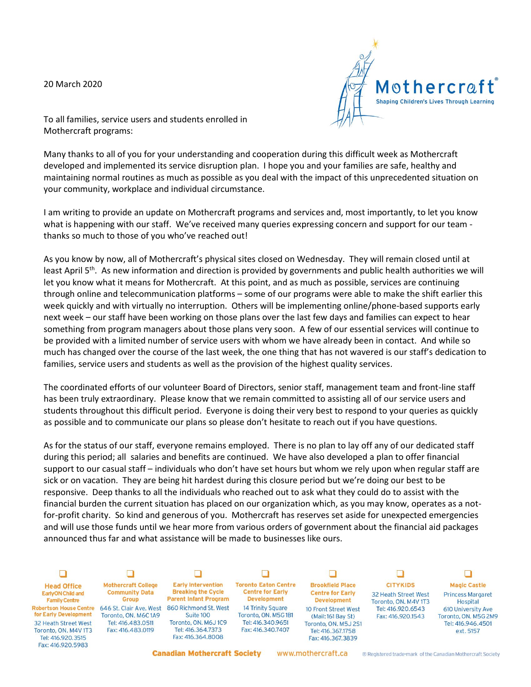20 March 2020



To all families, service users and students enrolled in Mothercraft programs:

Many thanks to all of you for your understanding and cooperation during this difficult week as Mothercraft developed and implemented its service disruption plan. I hope you and your families are safe, healthy and maintaining normal routines as much as possible as you deal with the impact of this unprecedented situation on your community, workplace and individual circumstance.

I am writing to provide an update on Mothercraft programs and services and, most importantly, to let you know what is happening with our staff. We've received many queries expressing concern and support for our team thanks so much to those of you who've reached out!

As you know by now, all of Mothercraft's physical sites closed on Wednesday. They will remain closed until at least April 5<sup>th</sup>. As new information and direction is provided by governments and public health authorities we will let you know what it means for Mothercraft. At this point, and as much as possible, services are continuing through online and telecommunication platforms – some of our programs were able to make the shift earlier this week quickly and with virtually no interruption. Others will be implementing online/phone-based supports early next week – our staff have been working on those plans over the last few days and families can expect to hear something from program managers about those plans very soon. A few of our essential services will continue to be provided with a limited number of service users with whom we have already been in contact. And while so much has changed over the course of the last week, the one thing that has not wavered is our staff's dedication to families, service users and students as well as the provision of the highest quality services.

The coordinated efforts of our volunteer Board of Directors, senior staff, management team and front-line staff has been truly extraordinary. Please know that we remain committed to assisting all of our service users and students throughout this difficult period. Everyone is doing their very best to respond to your queries as quickly as possible and to communicate our plans so please don't hesitate to reach out if you have questions.

As for the status of our staff, everyone remains employed. There is no plan to lay off any of our dedicated staff during this period; all salaries and benefits are continued. We have also developed a plan to offer financial support to our casual staff – individuals who don't have set hours but whom we rely upon when regular staff are sick or on vacation. They are being hit hardest during this closure period but we're doing our best to be responsive. Deep thanks to all the individuals who reached out to ask what they could do to assist with the financial burden the current situation has placed on our organization which, as you may know, operates as a notfor-profit charity. So kind and generous of you. Mothercraft has reserves set aside for unexpected emergencies and will use those funds until we hear more from various orders of government about the financial aid packages announced thus far and what assistance will be made to businesses like ours.